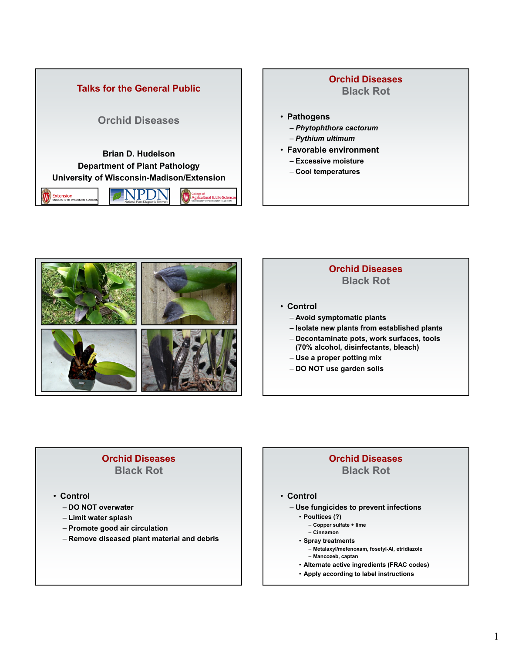

# • **Pathogens** – *Phytophthora cactorum*  – *Pythium ultimum* • **Favorable environment** – **Excessive moisture** – **Cool temperatures Orchid Diseases Black Rot**



### **Orchid Diseases Black Rot**

- **Control**
	- **Avoid symptomatic plants**
	- **Isolate new plants from established plants**
	- **Decontaminate pots, work surfaces, tools (70% alcohol, disinfectants, bleach)**
	- **Use a proper potting mix**
	- **DO NOT use garden soils**

### **Orchid Diseases Black Rot**

- **Control**
	- **DO NOT overwater**
	- **Limit water splash**
	- **Promote good air circulation**
	- **Remove diseased plant material and debris**

## **Orchid Diseases Black Rot**

### • **Control**

- **Use fungicides to prevent infections**
	- **Poultices (?)**
		- **Copper sulfate + lime**
	- **Cinnamon**
	- **Spray treatments**
		- **Metalaxyl/mefenoxam, fosetyl-Al, etridiazole**
		- **Mancozeb, captan**
	- **Alternate active ingredients (FRAC codes)**
	- **Apply according to label instructions**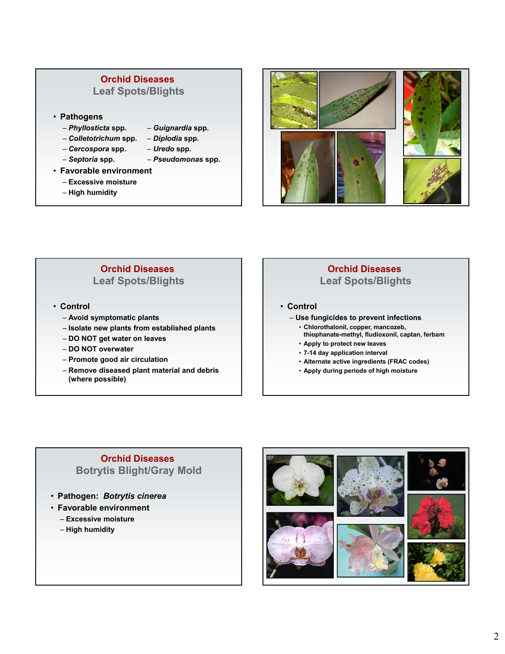### **Orchid Diseases Leaf Spots/Blights**

- **Pathogens**
	- *Phyllosticta* **spp.** *Guignardia* **spp.**
	- *Colletotrichum* **spp.** *Diplodia* **spp.**
		-
	- *Cercospora* **spp.** *Uredo* **spp.**
		-
		-
	- *Septoria* **spp.** *Pseudomonas* **spp.**
- **Favorable environment**
	- **Excessive moisture**
	- **High humidity**



### **Orchid Diseases Leaf Spots/Blights**

- **Control**
	- **Avoid symptomatic plants**
	- **Isolate new plants from established plants**
	- **DO NOT get water on leaves**
	- **DO NOT overwater**
	- **Promote good air circulation**
	- **Remove diseased plant material and debris (where possible)**

### **Orchid Diseases Leaf Spots/Blights**

- **Control**
	- **Use fungicides to prevent infections**
		- **Chlorothalonil, copper, mancozeb, thiophanate-methyl, fludioxonil, captan, ferbam**
		- **Apply to protect new leaves**
		- **7-14 day application interval**
		- **Alternate active ingredients (FRAC codes)**
		- **Apply during periods of high moisture**

### **Orchid Diseases Botrytis Blight/Gray Mold**

- **Pathogen:** *Botrytis cinerea*
- **Favorable environment**
	- **Excessive moisture**
	- **High humidity**

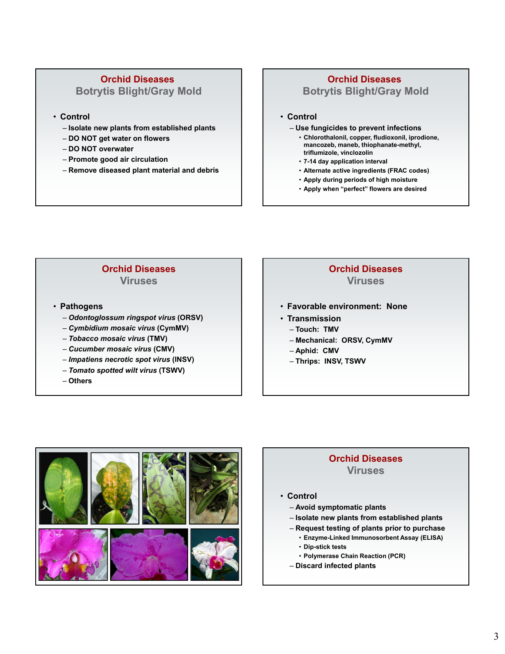# **Orchid Diseases**

### **Botrytis Blight/Gray Mold**

- **Control**
	- **Isolate new plants from established plants**
	- **DO NOT get water on flowers**
	- **DO NOT overwater**
	- **Promote good air circulation**
	- **Remove diseased plant material and debris**

## **Orchid Diseases Botrytis Blight/Gray Mold**

#### • **Control**

- **Use fungicides to prevent infections**
	- **Chlorothalonil, copper, fludioxonil, iprodione, mancozeb, maneb, thiophanate-methyl, triflumizole, vinclozolin**
	- **7-14 day application interval**
	- **Alternate active ingredients (FRAC codes)**
	- **Apply during periods of high moisture**
	- **Apply when "perfect" flowers are desired**

### **Orchid Diseases Viruses**

- **Pathogens** 
	- *Odontoglossum ringspot virus* **(ORSV)**
	- *Cymbidium mosaic virus* **(CymMV)**
	- *Tobacco mosaic virus* **(TMV)**
	- *Cucumber mosaic virus* **(CMV)**
	- *Impatiens necrotic spot virus* **(INSV)**
	- *Tomato spotted wilt virus* **(TSWV)**
	- **Others**

### **Orchid Diseases Viruses**

- **Favorable environment: None**
- **Transmission** 
	- **Touch: TMV**
	- **Mechanical: ORSV, CymMV**
	- **Aphid: CMV**
	- **Thrips: INSV, TSWV**



### **Orchid Diseases Viruses**

- **Control** 
	- **Avoid symptomatic plants**
	- **Isolate new plants from established plants**
	- **Request testing of plants prior to purchase**
		- **Enzyme-Linked Immunosorbent Assay (ELISA)**
		- **Dip-stick tests**
		- **Polymerase Chain Reaction (PCR)**
	- **Discard infected plants**